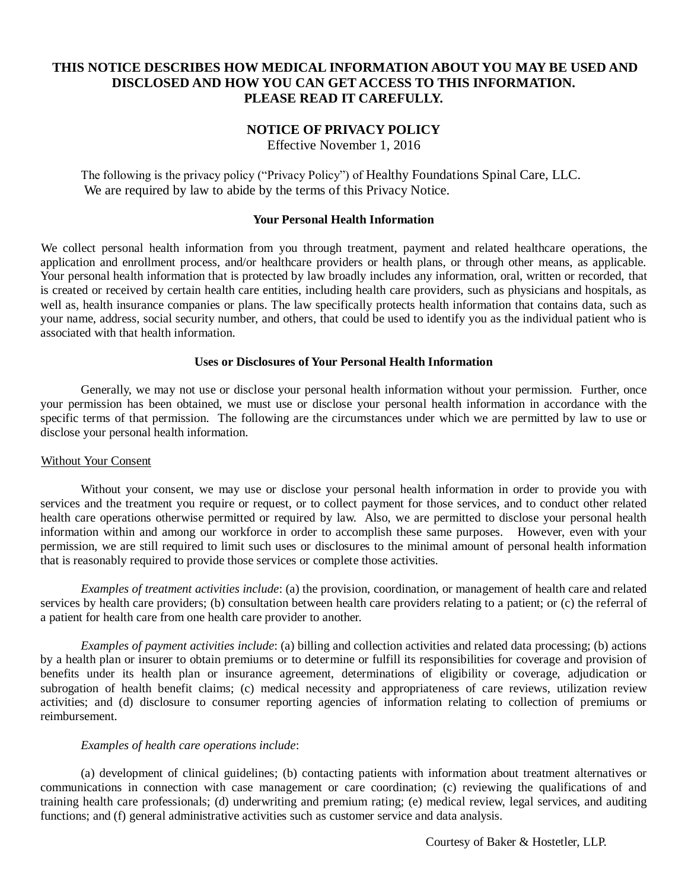# **THIS NOTICE DESCRIBES HOW MEDICAL INFORMATION ABOUT YOU MAY BE USED AND DISCLOSED AND HOW YOU CAN GET ACCESS TO THIS INFORMATION. PLEASE READ IT CAREFULLY.**

# **NOTICE OF PRIVACY POLICY**

Effective November 1, 2016

The following is the privacy policy ("Privacy Policy") of Healthy Foundations Spinal Care, LLC. We are required by law to abide by the terms of this Privacy Notice.

### **Your Personal Health Information**

We collect personal health information from you through treatment, payment and related healthcare operations, the application and enrollment process, and/or healthcare providers or health plans, or through other means, as applicable. Your personal health information that is protected by law broadly includes any information, oral, written or recorded, that is created or received by certain health care entities, including health care providers, such as physicians and hospitals, as well as, health insurance companies or plans. The law specifically protects health information that contains data, such as your name, address, social security number, and others, that could be used to identify you as the individual patient who is associated with that health information.

### **Uses or Disclosures of Your Personal Health Information**

Generally, we may not use or disclose your personal health information without your permission. Further, once your permission has been obtained, we must use or disclose your personal health information in accordance with the specific terms of that permission. The following are the circumstances under which we are permitted by law to use or disclose your personal health information.

### Without Your Consent

Without your consent, we may use or disclose your personal health information in order to provide you with services and the treatment you require or request, or to collect payment for those services, and to conduct other related health care operations otherwise permitted or required by law. Also, we are permitted to disclose your personal health information within and among our workforce in order to accomplish these same purposes. However, even with your permission, we are still required to limit such uses or disclosures to the minimal amount of personal health information that is reasonably required to provide those services or complete those activities.

*Examples of treatment activities include*: (a) the provision, coordination, or management of health care and related services by health care providers; (b) consultation between health care providers relating to a patient; or (c) the referral of a patient for health care from one health care provider to another.

*Examples of payment activities include*: (a) billing and collection activities and related data processing; (b) actions by a health plan or insurer to obtain premiums or to determine or fulfill its responsibilities for coverage and provision of benefits under its health plan or insurance agreement, determinations of eligibility or coverage, adjudication or subrogation of health benefit claims; (c) medical necessity and appropriateness of care reviews, utilization review activities; and (d) disclosure to consumer reporting agencies of information relating to collection of premiums or reimbursement.

### *Examples of health care operations include*:

(a) development of clinical guidelines; (b) contacting patients with information about treatment alternatives or communications in connection with case management or care coordination; (c) reviewing the qualifications of and training health care professionals; (d) underwriting and premium rating; (e) medical review, legal services, and auditing functions; and (f) general administrative activities such as customer service and data analysis.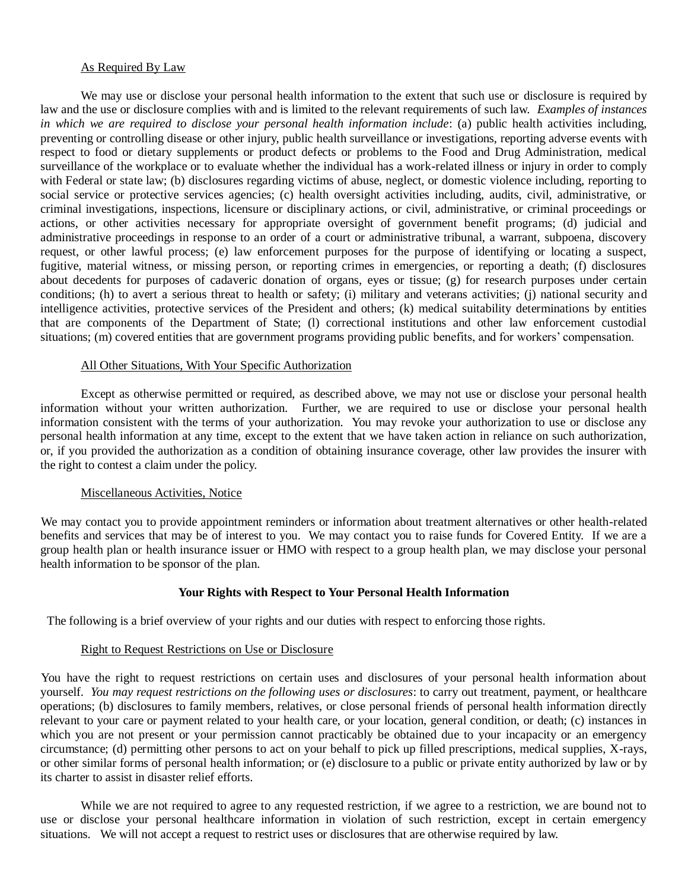### As Required By Law

We may use or disclose your personal health information to the extent that such use or disclosure is required by law and the use or disclosure complies with and is limited to the relevant requirements of such law. *Examples of instances in which we are required to disclose your personal health information include*: (a) public health activities including, preventing or controlling disease or other injury, public health surveillance or investigations, reporting adverse events with respect to food or dietary supplements or product defects or problems to the Food and Drug Administration, medical surveillance of the workplace or to evaluate whether the individual has a work-related illness or injury in order to comply with Federal or state law; (b) disclosures regarding victims of abuse, neglect, or domestic violence including, reporting to social service or protective services agencies; (c) health oversight activities including, audits, civil, administrative, or criminal investigations, inspections, licensure or disciplinary actions, or civil, administrative, or criminal proceedings or actions, or other activities necessary for appropriate oversight of government benefit programs; (d) judicial and administrative proceedings in response to an order of a court or administrative tribunal, a warrant, subpoena, discovery request, or other lawful process; (e) law enforcement purposes for the purpose of identifying or locating a suspect, fugitive, material witness, or missing person, or reporting crimes in emergencies, or reporting a death; (f) disclosures about decedents for purposes of cadaveric donation of organs, eyes or tissue; (g) for research purposes under certain conditions; (h) to avert a serious threat to health or safety; (i) military and veterans activities; (j) national security and intelligence activities, protective services of the President and others; (k) medical suitability determinations by entities that are components of the Department of State; (l) correctional institutions and other law enforcement custodial situations; (m) covered entities that are government programs providing public benefits, and for workers' compensation.

### All Other Situations, With Your Specific Authorization

Except as otherwise permitted or required, as described above, we may not use or disclose your personal health information without your written authorization. Further, we are required to use or disclose your personal health information consistent with the terms of your authorization. You may revoke your authorization to use or disclose any personal health information at any time, except to the extent that we have taken action in reliance on such authorization, or, if you provided the authorization as a condition of obtaining insurance coverage, other law provides the insurer with the right to contest a claim under the policy.

# Miscellaneous Activities, Notice

We may contact you to provide appointment reminders or information about treatment alternatives or other health-related benefits and services that may be of interest to you. We may contact you to raise funds for Covered Entity. If we are a group health plan or health insurance issuer or HMO with respect to a group health plan, we may disclose your personal health information to be sponsor of the plan.

# **Your Rights with Respect to Your Personal Health Information**

The following is a brief overview of your rights and our duties with respect to enforcing those rights.

### Right to Request Restrictions on Use or Disclosure

You have the right to request restrictions on certain uses and disclosures of your personal health information about yourself. *You may request restrictions on the following uses or disclosures*: to carry out treatment, payment, or healthcare operations; (b) disclosures to family members, relatives, or close personal friends of personal health information directly relevant to your care or payment related to your health care, or your location, general condition, or death; (c) instances in which you are not present or your permission cannot practicably be obtained due to your incapacity or an emergency circumstance; (d) permitting other persons to act on your behalf to pick up filled prescriptions, medical supplies, X-rays, or other similar forms of personal health information; or (e) disclosure to a public or private entity authorized by law or by its charter to assist in disaster relief efforts.

While we are not required to agree to any requested restriction, if we agree to a restriction, we are bound not to use or disclose your personal healthcare information in violation of such restriction, except in certain emergency situations. We will not accept a request to restrict uses or disclosures that are otherwise required by law.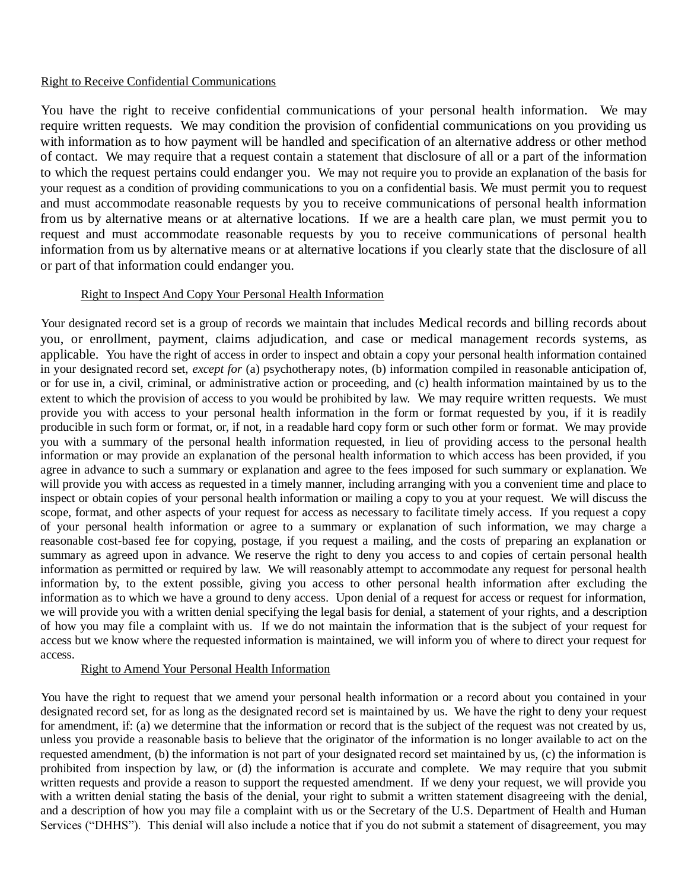# Right to Receive Confidential Communications

You have the right to receive confidential communications of your personal health information. We may require written requests. We may condition the provision of confidential communications on you providing us with information as to how payment will be handled and specification of an alternative address or other method of contact. We may require that a request contain a statement that disclosure of all or a part of the information to which the request pertains could endanger you. We may not require you to provide an explanation of the basis for your request as a condition of providing communications to you on a confidential basis. We must permit you to request and must accommodate reasonable requests by you to receive communications of personal health information from us by alternative means or at alternative locations. If we are a health care plan, we must permit you to request and must accommodate reasonable requests by you to receive communications of personal health information from us by alternative means or at alternative locations if you clearly state that the disclosure of all or part of that information could endanger you.

# Right to Inspect And Copy Your Personal Health Information

Your designated record set is a group of records we maintain that includes Medical records and billing records about you, or enrollment, payment, claims adjudication, and case or medical management records systems, as applicable. You have the right of access in order to inspect and obtain a copy your personal health information contained in your designated record set, *except for* (a) psychotherapy notes, (b) information compiled in reasonable anticipation of, or for use in, a civil, criminal, or administrative action or proceeding, and (c) health information maintained by us to the extent to which the provision of access to you would be prohibited by law. We may require written requests. We must provide you with access to your personal health information in the form or format requested by you, if it is readily producible in such form or format, or, if not, in a readable hard copy form or such other form or format. We may provide you with a summary of the personal health information requested, in lieu of providing access to the personal health information or may provide an explanation of the personal health information to which access has been provided, if you agree in advance to such a summary or explanation and agree to the fees imposed for such summary or explanation. We will provide you with access as requested in a timely manner, including arranging with you a convenient time and place to inspect or obtain copies of your personal health information or mailing a copy to you at your request. We will discuss the scope, format, and other aspects of your request for access as necessary to facilitate timely access. If you request a copy of your personal health information or agree to a summary or explanation of such information, we may charge a reasonable cost-based fee for copying, postage, if you request a mailing, and the costs of preparing an explanation or summary as agreed upon in advance. We reserve the right to deny you access to and copies of certain personal health information as permitted or required by law. We will reasonably attempt to accommodate any request for personal health information by, to the extent possible, giving you access to other personal health information after excluding the information as to which we have a ground to deny access. Upon denial of a request for access or request for information, we will provide you with a written denial specifying the legal basis for denial, a statement of your rights, and a description of how you may file a complaint with us*.* If we do not maintain the information that is the subject of your request for access but we know where the requested information is maintained, we will inform you of where to direct your request for access.

### Right to Amend Your Personal Health Information

You have the right to request that we amend your personal health information or a record about you contained in your designated record set, for as long as the designated record set is maintained by us. We have the right to deny your request for amendment, if: (a) we determine that the information or record that is the subject of the request was not created by us, unless you provide a reasonable basis to believe that the originator of the information is no longer available to act on the requested amendment, (b) the information is not part of your designated record set maintained by us, (c) the information is prohibited from inspection by law, or (d) the information is accurate and complete. We may require that you submit written requests and provide a reason to support the requested amendment. If we deny your request, we will provide you with a written denial stating the basis of the denial, your right to submit a written statement disagreeing with the denial, and a description of how you may file a complaint with us or the Secretary of the U.S. Department of Health and Human Services ("DHHS"). This denial will also include a notice that if you do not submit a statement of disagreement, you may